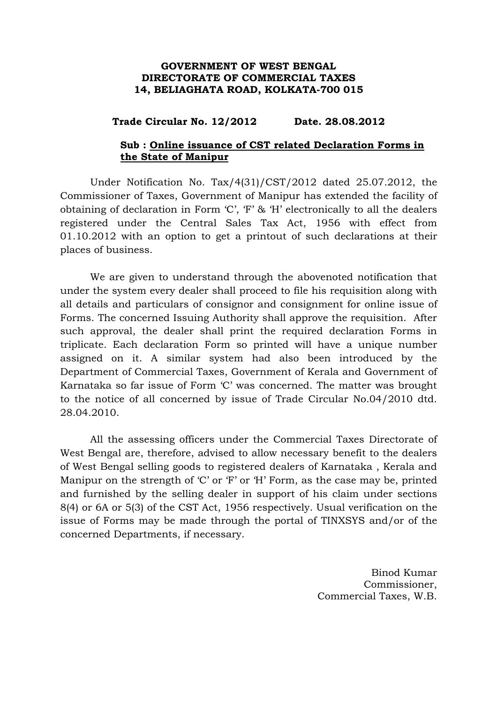## **GOVERNMENT OF WEST BENGAL DIRECTORATE OF COMMERCIAL TAXES 14, BELIAGHATA ROAD, KOLKATA-700 015**

## **Trade Circular No. 12/2012 Date. 28.08.2012**

## **Sub : Online issuance of CST related Declaration Forms in the State of Manipur**

 Under Notification No. Tax/4(31)/CST/2012 dated 25.07.2012, the Commissioner of Taxes, Government of Manipur has extended the facility of obtaining of declaration in Form 'C', 'F' & 'H' electronically to all the dealers registered under the Central Sales Tax Act, 1956 with effect from 01.10.2012 with an option to get a printout of such declarations at their places of business.

 We are given to understand through the abovenoted notification that under the system every dealer shall proceed to file his requisition along with all details and particulars of consignor and consignment for online issue of Forms. The concerned Issuing Authority shall approve the requisition. After such approval, the dealer shall print the required declaration Forms in triplicate. Each declaration Form so printed will have a unique number assigned on it. A similar system had also been introduced by the Department of Commercial Taxes, Government of Kerala and Government of Karnataka so far issue of Form 'C' was concerned. The matter was brought to the notice of all concerned by issue of Trade Circular No.04/2010 dtd. 28.04.2010.

 All the assessing officers under the Commercial Taxes Directorate of West Bengal are, therefore, advised to allow necessary benefit to the dealers of West Bengal selling goods to registered dealers of Karnataka , Kerala and Manipur on the strength of 'C' or 'F' or 'H' Form, as the case may be, printed and furnished by the selling dealer in support of his claim under sections 8(4) or 6A or 5(3) of the CST Act, 1956 respectively. Usual verification on the issue of Forms may be made through the portal of TINXSYS and/or of the concerned Departments, if necessary.

> Binod Kumar Commissioner, Commercial Taxes, W.B.